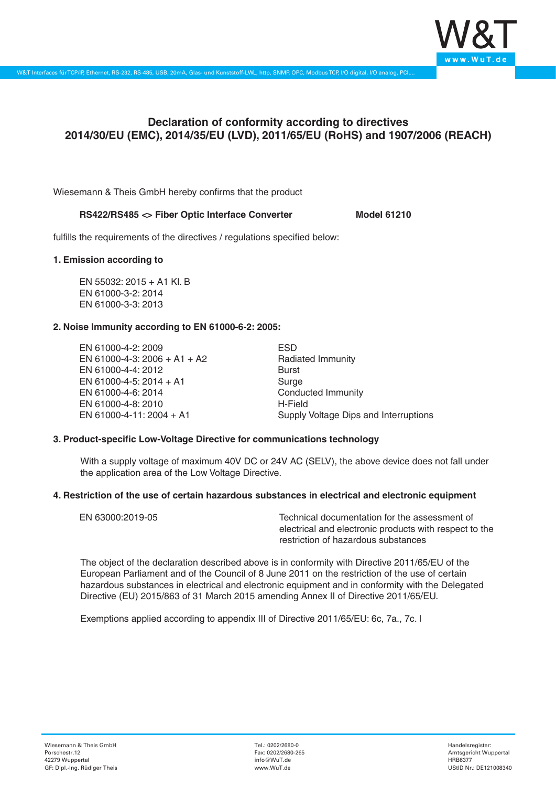

# **Declaration of conformity according to directives 2014/30/EU (EMC), 2014/35/EU (LVD), 2011/65/EU (RoHS) and 1907/2006 (REACH)**

Wiesemann & Theis GmbH hereby confirms that the product

#### RS422/RS485 <> Fiber Optic Interface Converter Model 61210

fulfills the requirements of the directives / regulations specified below:

#### **1. Emission according to**

EN 55032: 2015 + A1 Kl. B EN 61000-3-2: 2014 EN 61000-3-3: 2013

# **2. Noise Immunity according to EN 61000-6-2: 2005:**

EN 61000-4-2: 2009 EN 61000-4-3: 2006 + A1 + A2 EN 61000-4-4: 2012 EN 61000-4-5: 2014 + A1 EN 61000-4-6: 2014 EN 61000-4-8: 2010 EN 61000-4-11: 2004 + A1

ESD Radiated Immunity Burst Surge Conducted Immunity H-Field Supply Voltage Dips and Interruptions

# **3. Product-specific Low-Voltage Directive for communications technology**

With a supply voltage of maximum 40V DC or 24V AC (SELV), the above device does not fall under the application area of the Low Voltage Directive.

### **4. Restriction of the use of certain hazardous substances in electrical and electronic equipment**

| EN 63000:2019-05 | Technical documentation for the assessment of          |
|------------------|--------------------------------------------------------|
|                  | electrical and electronic products with respect to the |
|                  | restriction of hazardous substances                    |

The object of the declaration described above is in conformity with Directive 2011/65/EU of the European Parliament and of the Council of 8 June 2011 on the restriction of the use of certain hazardous substances in electrical and electronic equipment and in conformity with the Delegated Directive (EU) 2015/863 of 31 March 2015 amending Annex II of Directive 2011/65/EU.

Exemptions applied according to appendix III of Directive 2011/65/EU: 6c, 7a., 7c. I